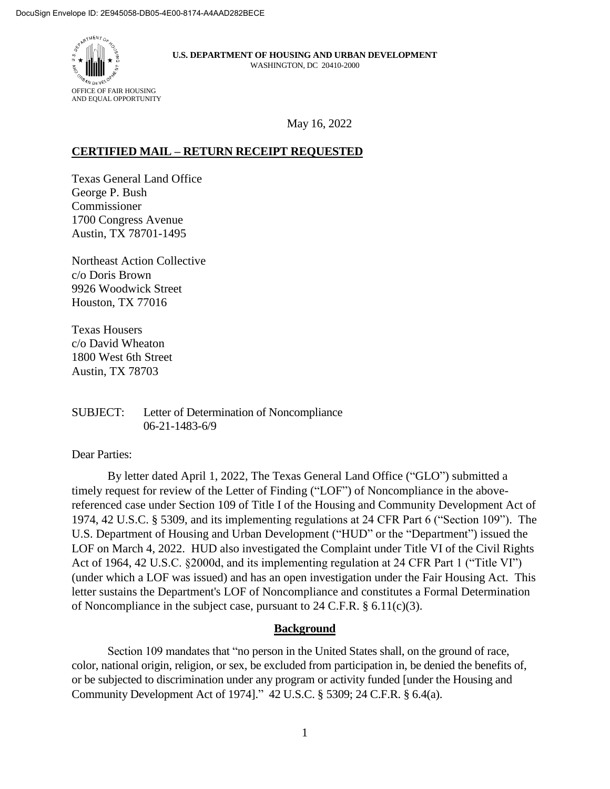

May 16, 2022

# **CERTIFIED MAIL – RETURN RECEIPT REQUESTED**

Texas General Land Office George P. Bush Commissioner 1700 Congress Avenue Austin, TX 78701-1495

Northeast Action Collective c/o Doris Brown 9926 Woodwick Street Houston, TX 77016

Texas Housers c/o David Wheaton 1800 West 6th Street Austin, TX 78703

SUBJECT: Letter of Determination of Noncompliance 06-21-1483-6/9

### Dear Parties:

By letter dated April 1, 2022, The Texas General Land Office ("GLO") submitted a timely request for review of the Letter of Finding ("LOF") of Noncompliance in the abovereferenced case under Section 109 of Title I of the Housing and Community Development Act of 1974, 42 U.S.C. § 5309, and its implementing regulations at 24 CFR Part 6 ("Section 109"). The U.S. Department of Housing and Urban Development ("HUD" or the "Department") issued the LOF on March 4, 2022. HUD also investigated the Complaint under Title VI of the Civil Rights Act of 1964, 42 U.S.C. §2000d, and its implementing regulation at 24 CFR Part 1 ("Title VI") (under which a LOF was issued) and has an open investigation under the Fair Housing Act. This letter sustains the Department's LOF of Noncompliance and constitutes a Formal Determination of Noncompliance in the subject case, pursuant to 24 C.F.R.  $\S$  6.11(c)(3).

### **Background**

Section 109 mandates that "no person in the United States shall, on the ground of race, color, national origin, religion, or sex, be excluded from participation in, be denied the benefits of, or be subjected to discrimination under any program or activity funded [under the Housing and Community Development Act of 1974]." 42 U.S.C. § 5309; 24 C.F.R. § 6.4(a).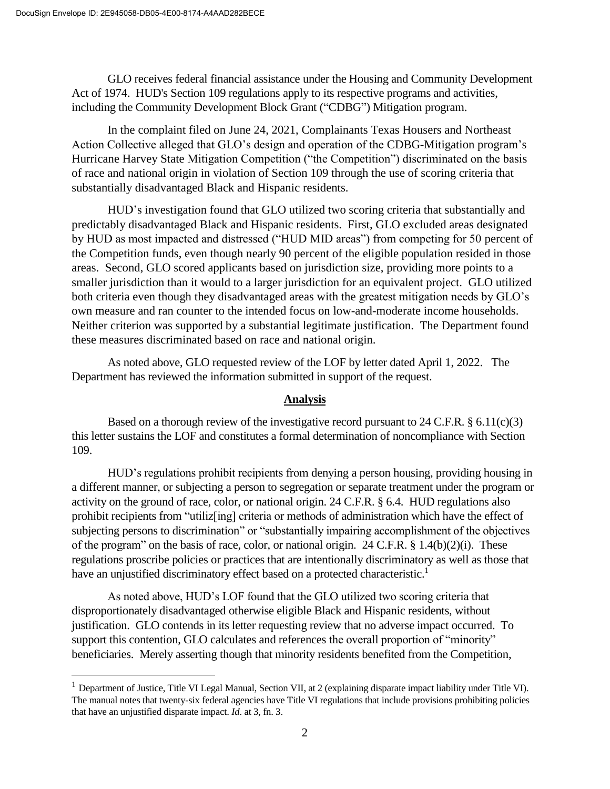$\overline{a}$ 

GLO receives federal financial assistance under the Housing and Community Development Act of 1974. HUD's Section 109 regulations apply to its respective programs and activities, including the Community Development Block Grant ("CDBG") Mitigation program.

In the complaint filed on June 24, 2021, Complainants Texas Housers and Northeast Action Collective alleged that GLO's design and operation of the CDBG-Mitigation program's Hurricane Harvey State Mitigation Competition ("the Competition") discriminated on the basis of race and national origin in violation of Section 109 through the use of scoring criteria that substantially disadvantaged Black and Hispanic residents.

HUD's investigation found that GLO utilized two scoring criteria that substantially and predictably disadvantaged Black and Hispanic residents. First, GLO excluded areas designated by HUD as most impacted and distressed ("HUD MID areas") from competing for 50 percent of the Competition funds, even though nearly 90 percent of the eligible population resided in those areas. Second, GLO scored applicants based on jurisdiction size, providing more points to a smaller jurisdiction than it would to a larger jurisdiction for an equivalent project. GLO utilized both criteria even though they disadvantaged areas with the greatest mitigation needs by GLO's own measure and ran counter to the intended focus on low-and-moderate income households. Neither criterion was supported by a substantial legitimate justification. The Department found these measures discriminated based on race and national origin.

As noted above, GLO requested review of the LOF by letter dated April 1, 2022. The Department has reviewed the information submitted in support of the request.

## **Analysis**

Based on a thorough review of the investigative record pursuant to  $24$  C.F.R. § 6.11(c)(3) this letter sustains the LOF and constitutes a formal determination of noncompliance with Section 109.

HUD's regulations prohibit recipients from denying a person housing, providing housing in a different manner, or subjecting a person to segregation or separate treatment under the program or activity on the ground of race, color, or national origin. 24 C.F.R. § 6.4. HUD regulations also prohibit recipients from "utiliz[ing] criteria or methods of administration which have the effect of subjecting persons to discrimination" or "substantially impairing accomplishment of the objectives of the program" on the basis of race, color, or national origin. 24 C.F.R.  $\S 1.4(b)(2)(i)$ . These regulations proscribe policies or practices that are intentionally discriminatory as well as those that have an unjustified discriminatory effect based on a protected characteristic.<sup>1</sup>

As noted above, HUD's LOF found that the GLO utilized two scoring criteria that disproportionately disadvantaged otherwise eligible Black and Hispanic residents, without justification. GLO contends in its letter requesting review that no adverse impact occurred. To support this contention, GLO calculates and references the overall proportion of "minority" beneficiaries. Merely asserting though that minority residents benefited from the Competition,

<sup>&</sup>lt;sup>1</sup> Department of Justice, Title VI Legal Manual, Section VII, at 2 (explaining disparate impact liability under Title VI). The manual notes that twenty-six federal agencies have Title VI regulations that include provisions prohibiting policies that have an unjustified disparate impact. *Id*. at 3, fn. 3.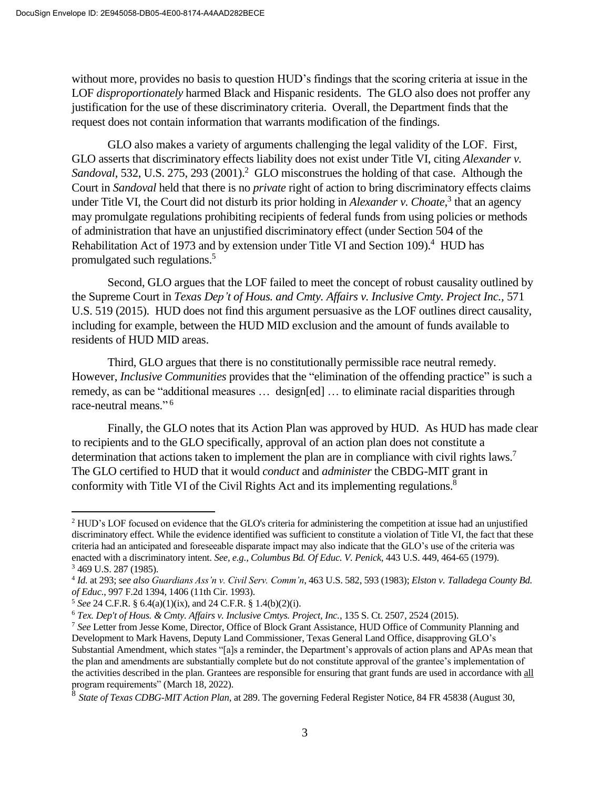without more, provides no basis to question HUD's findings that the scoring criteria at issue in the LOF *disproportionately* harmed Black and Hispanic residents. The GLO also does not proffer any justification for the use of these discriminatory criteria. Overall, the Department finds that the request does not contain information that warrants modification of the findings.

GLO also makes a variety of arguments challenging the legal validity of the LOF. First, GLO asserts that discriminatory effects liability does not exist under Title VI, citing *Alexander v.*  Sandoval, 532, U.S. 275, 293 (2001).<sup>2</sup> GLO misconstrues the holding of that case. Although the Court in *Sandoval* held that there is no *private* right of action to bring discriminatory effects claims under Title VI, the Court did not disturb its prior holding in *Alexander v. Choate*, 3 that an agency may promulgate regulations prohibiting recipients of federal funds from using policies or methods of administration that have an unjustified discriminatory effect (under Section 504 of the Rehabilitation Act of 1973 and by extension under Title VI and Section 109).<sup>4</sup> HUD has promulgated such regulations.<sup>5</sup>

Second, GLO argues that the LOF failed to meet the concept of robust causality outlined by the Supreme Court in *Texas Dep't of Hous. and Cmty. Affairs v. Inclusive Cmty. Project Inc.,* 571 U.S. 519 (2015). HUD does not find this argument persuasive as the LOF outlines direct causality, including for example, between the HUD MID exclusion and the amount of funds available to residents of HUD MID areas.

Third, GLO argues that there is no constitutionally permissible race neutral remedy. However, *Inclusive Communities* provides that the "elimination of the offending practice" is such a remedy, as can be "additional measures … design[ed] … to eliminate racial disparities through race-neutral means." 6

Finally, the GLO notes that its Action Plan was approved by HUD. As HUD has made clear to recipients and to the GLO specifically, approval of an action plan does not constitute a determination that actions taken to implement the plan are in compliance with civil rights laws.<sup>7</sup> The GLO certified to HUD that it would *conduct* and *administer* the CBDG-MIT grant in conformity with Title VI of the Civil Rights Act and its implementing regulations. 8

 $\overline{a}$ 

<sup>2</sup> HUD's LOF focused on evidence that the GLO's criteria for administering the competition at issue had an unjustified discriminatory effect. While the evidence identified was sufficient to constitute a violation of Title VI, the fact that these criteria had an anticipated and foreseeable disparate impact may also indicate that the GLO's use of the criteria was enacted with a discriminatory intent. *See, e.g., Columbus Bd. Of Educ. V. Penick*, 443 U.S. 449, 464-65 (1979). <sup>3</sup> 469 U.S. 287 (1985).

<sup>4</sup> *Id.* at 293; s*ee also Guardians Ass'n v. Civil Serv. Comm'n*, 463 U.S. 582, 593 (1983); *Elston v. Talladega County Bd. of Educ.*, 997 F.2d 1394, 1406 (11th Cir. 1993).

<sup>5</sup> *See* 24 C.F.R. § 6.4(a)(1)(ix), and 24 C.F.R. § 1.4(b)(2)(i).

<sup>6</sup> *Tex. Dep't of Hous. & Cmty. Affairs v. Inclusive Cmtys. Project, Inc.*, 135 S. Ct. 2507, 2524 (2015).

<sup>7</sup> *See* Letter from Jesse Kome, Director, Office of Block Grant Assistance, HUD Office of Community Planning and Development to Mark Havens, Deputy Land Commissioner, Texas General Land Office, disapproving GLO's Substantial Amendment, which states "[a]s a reminder, the Department's approvals of action plans and APAs mean that the plan and amendments are substantially complete but do not constitute approval of the grantee's implementation of the activities described in the plan. Grantees are responsible for ensuring that grant funds are used in accordance with all program requirements" (March 18, 2022).

<sup>8</sup> *State of Texas CDBG-MIT Action Plan*, at 289. The governing Federal Register Notice, 84 FR 45838 (August 30,